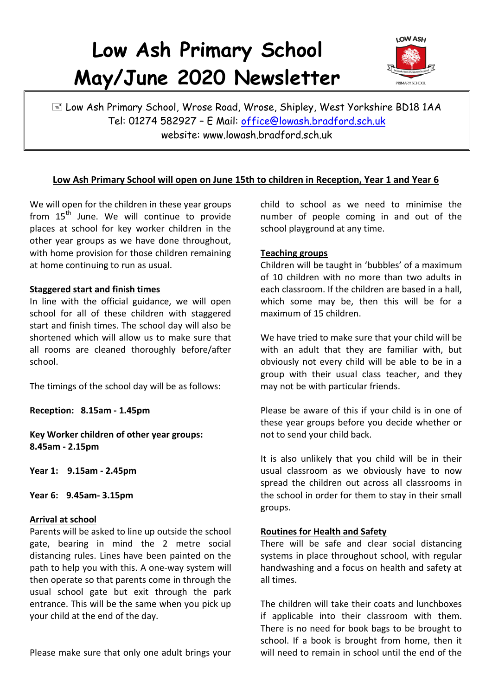# **Low Ash Primary School May/June 2020 Newsletter**



E Low Ash Primary School, Wrose Road, Wrose, Shipley, West Yorkshire BD18 1AA Tel: 01274 582927 – E Mail: [office@lowash.bradford.sch.uk](mailto:office@lowash.bradford.sch.uk) website: www.lowash.bradford.sch.uk

# **Low Ash Primary School will open on June 15th to children in Reception, Year 1 and Year 6**

We will open for the children in these year groups from  $15<sup>th</sup>$  June. We will continue to provide places at school for key worker children in the other year groups as we have done throughout, with home provision for those children remaining at home continuing to run as usual.

#### **Staggered start and finish times**

In line with the official guidance, we will open school for all of these children with staggered start and finish times. The school day will also be shortened which will allow us to make sure that all rooms are cleaned thoroughly before/after school.

The timings of the school day will be as follows:

**Reception: 8.15am - 1.45pm** 

**Key Worker children of other year groups: 8.45am - 2.15pm** 

**Year 1: 9.15am - 2.45pm** 

**Year 6: 9.45am- 3.15pm** 

## **Arrival at school**

Parents will be asked to line up outside the school gate, bearing in mind the 2 metre social distancing rules. Lines have been painted on the path to help you with this. A one-way system will then operate so that parents come in through the usual school gate but exit through the park entrance. This will be the same when you pick up your child at the end of the day.

Please make sure that only one adult brings your

child to school as we need to minimise the number of people coming in and out of the school playground at any time.

## **Teaching groups**

Children will be taught in 'bubbles' of a maximum of 10 children with no more than two adults in each classroom. If the children are based in a hall, which some may be, then this will be for a maximum of 15 children.

We have tried to make sure that your child will be with an adult that they are familiar with, but obviously not every child will be able to be in a group with their usual class teacher, and they may not be with particular friends.

Please be aware of this if your child is in one of these year groups before you decide whether or not to send your child back.

It is also unlikely that you child will be in their usual classroom as we obviously have to now spread the children out across all classrooms in the school in order for them to stay in their small groups.

## **Routines for Health and Safety**

There will be safe and clear social distancing systems in place throughout school, with regular handwashing and a focus on health and safety at all times.

The children will take their coats and lunchboxes if applicable into their classroom with them. There is no need for book bags to be brought to school. If a book is brought from home, then it will need to remain in school until the end of the